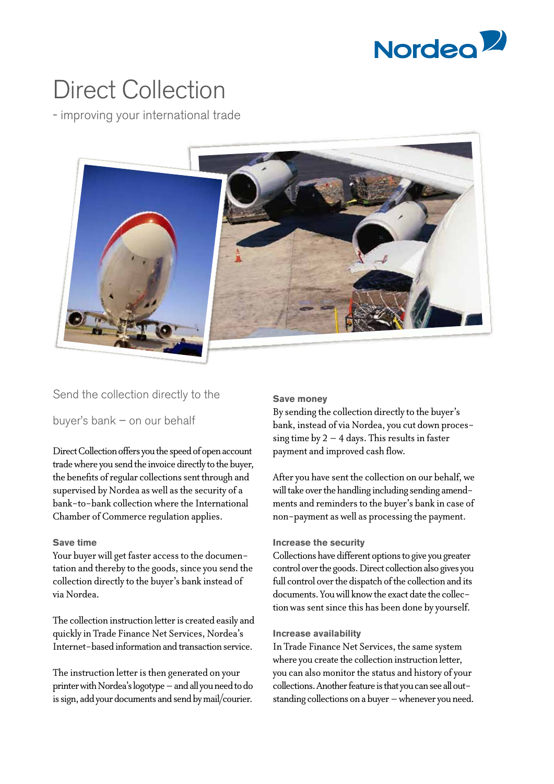

# Direct Collection

- improving your international trade



## Send the collection directly to the

buyer's bank – on our behalf

Direct Collection offers you the speed of open account trade where you send the invoice directly to the buyer, the benefits of regular collections sent through and supervised by Nordea as well as the security of a bank-to-bank collection where the International Chamber of Commerce regulation applies.

## **Save time**

Your buyer will get faster access to the documentation and thereby to the goods, since you send the collection directly to the buyer's bank instead of via Nordea.

The collection instruction letter is created easily and quickly in Trade Finance Net Services, Nordea's Internet-based information and transaction service.

The instruction letter is then generated on your printer with Nordea's logotype – and all you need to do is sign, add your documents and send by mail/courier.

#### **Save money**

By sending the collection directly to the buyer's bank, instead of via Nordea, you cut down processing time by  $2 - 4$  days. This results in faster payment and improved cash flow.

After you have sent the collection on our behalf, we will take over the handling including sending amendments and reminders to the buyer's bank in case of non-payment as well as processing the payment.

#### **Increase the security**

Collections have different options to give you greater control over the goods. Direct collection also gives you full control over the dispatch of the collection and its documents. You will know the exact date the collection was sent since this has been done by yourself.

## **Increase availability**

In Trade Finance Net Services, the same system where you create the collection instruction letter, you can also monitor the status and history of your collections. Another feature is that you can see all outstanding collections on a buyer – whenever you need.